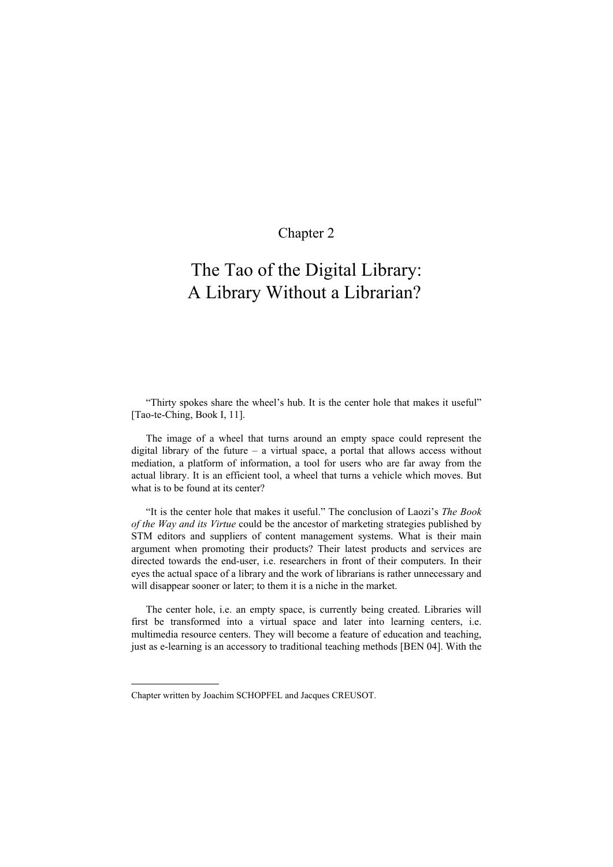# Chapter 2

# The Tao of the Digital Library: A Library Without a Librarian?

"Thirty spokes share the wheel's hub. It is the center hole that makes it useful" [Tao-te-Ching, Book I, 11].

The image of a wheel that turns around an empty space could represent the digital library of the future – a virtual space, a portal that allows access without mediation, a platform of information, a tool for users who are far away from the actual library. It is an efficient tool, a wheel that turns a vehicle which moves. But what is to be found at its center?

"It is the center hole that makes it useful." The conclusion of Laozi's *The Book of the Way and its Virtue* could be the ancestor of marketing strategies published by STM editors and suppliers of content management systems. What is their main argument when promoting their products? Their latest products and services are directed towards the end-user, i.e. researchers in front of their computers. In their eyes the actual space of a library and the work of librarians is rather unnecessary and will disappear sooner or later; to them it is a niche in the market.

The center hole, i.e. an empty space, is currently being created. Libraries will first be transformed into a virtual space and later into learning centers, i.e. multimedia resource centers. They will become a feature of education and teaching, just as e-learning is an accessory to traditional teaching methods [BEN 04]. With the

 $\overline{a}$ 

Chapter written by Joachim SCHOPFEL and Jacques CREUSOT.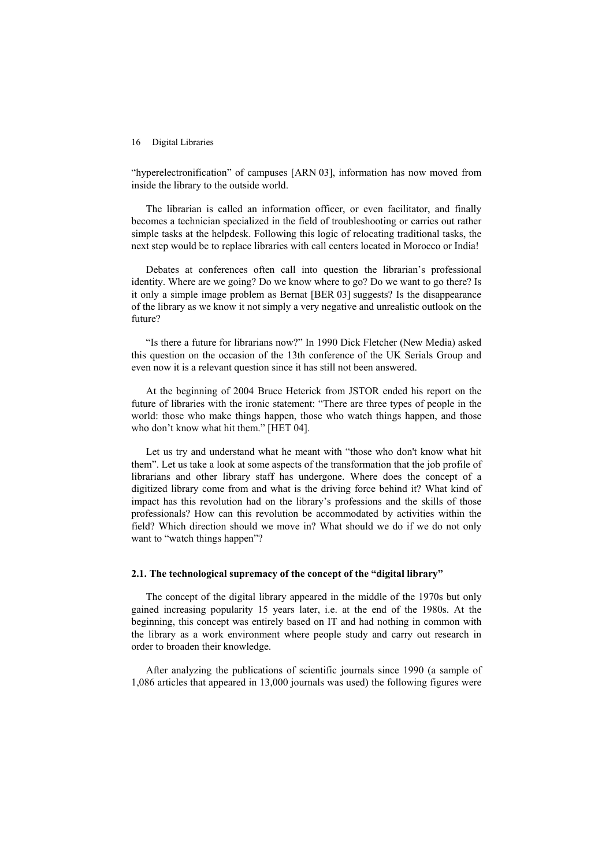"hyperelectronification" of campuses [ARN 03], information has now moved from inside the library to the outside world.

The librarian is called an information officer, or even facilitator, and finally becomes a technician specialized in the field of troubleshooting or carries out rather simple tasks at the helpdesk. Following this logic of relocating traditional tasks, the next step would be to replace libraries with call centers located in Morocco or India!

Debates at conferences often call into question the librarian's professional identity. Where are we going? Do we know where to go? Do we want to go there? Is it only a simple image problem as Bernat [BER 03] suggests? Is the disappearance of the library as we know it not simply a very negative and unrealistic outlook on the future?

"Is there a future for librarians now?" In 1990 Dick Fletcher (New Media) asked this question on the occasion of the 13th conference of the UK Serials Group and even now it is a relevant question since it has still not been answered.

At the beginning of 2004 Bruce Heterick from JSTOR ended his report on the future of libraries with the ironic statement: "There are three types of people in the world: those who make things happen, those who watch things happen, and those who don't know what hit them." [HET 04].

Let us try and understand what he meant with "those who don't know what hit them". Let us take a look at some aspects of the transformation that the job profile of librarians and other library staff has undergone. Where does the concept of a digitized library come from and what is the driving force behind it? What kind of impact has this revolution had on the library's professions and the skills of those professionals? How can this revolution be accommodated by activities within the field? Which direction should we move in? What should we do if we do not only want to "watch things happen"?

## **2.1. The technological supremacy of the concept of the "digital library"**

The concept of the digital library appeared in the middle of the 1970s but only gained increasing popularity 15 years later, i.e. at the end of the 1980s. At the beginning, this concept was entirely based on IT and had nothing in common with the library as a work environment where people study and carry out research in order to broaden their knowledge.

After analyzing the publications of scientific journals since 1990 (a sample of 1,086 articles that appeared in 13,000 journals was used) the following figures were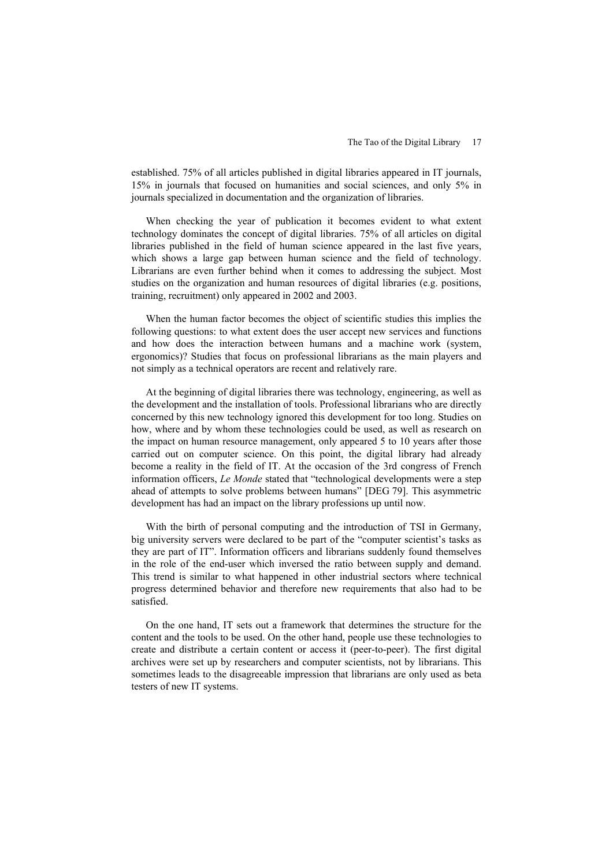established. 75% of all articles published in digital libraries appeared in IT journals, 15% in journals that focused on humanities and social sciences, and only 5% in journals specialized in documentation and the organization of libraries.

When checking the year of publication it becomes evident to what extent technology dominates the concept of digital libraries. 75% of all articles on digital libraries published in the field of human science appeared in the last five years, which shows a large gap between human science and the field of technology. Librarians are even further behind when it comes to addressing the subject. Most studies on the organization and human resources of digital libraries (e.g. positions, training, recruitment) only appeared in 2002 and 2003.

When the human factor becomes the object of scientific studies this implies the following questions: to what extent does the user accept new services and functions and how does the interaction between humans and a machine work (system, ergonomics)? Studies that focus on professional librarians as the main players and not simply as a technical operators are recent and relatively rare.

At the beginning of digital libraries there was technology, engineering, as well as the development and the installation of tools. Professional librarians who are directly concerned by this new technology ignored this development for too long. Studies on how, where and by whom these technologies could be used, as well as research on the impact on human resource management, only appeared 5 to 10 years after those carried out on computer science. On this point, the digital library had already become a reality in the field of IT. At the occasion of the 3rd congress of French information officers, *Le Monde* stated that "technological developments were a step ahead of attempts to solve problems between humans" [DEG 79]. This asymmetric development has had an impact on the library professions up until now.

With the birth of personal computing and the introduction of TSI in Germany, big university servers were declared to be part of the "computer scientist's tasks as they are part of IT". Information officers and librarians suddenly found themselves in the role of the end-user which inversed the ratio between supply and demand. This trend is similar to what happened in other industrial sectors where technical progress determined behavior and therefore new requirements that also had to be satisfied.

On the one hand, IT sets out a framework that determines the structure for the content and the tools to be used. On the other hand, people use these technologies to create and distribute a certain content or access it (peer-to-peer). The first digital archives were set up by researchers and computer scientists, not by librarians. This sometimes leads to the disagreeable impression that librarians are only used as beta testers of new IT systems.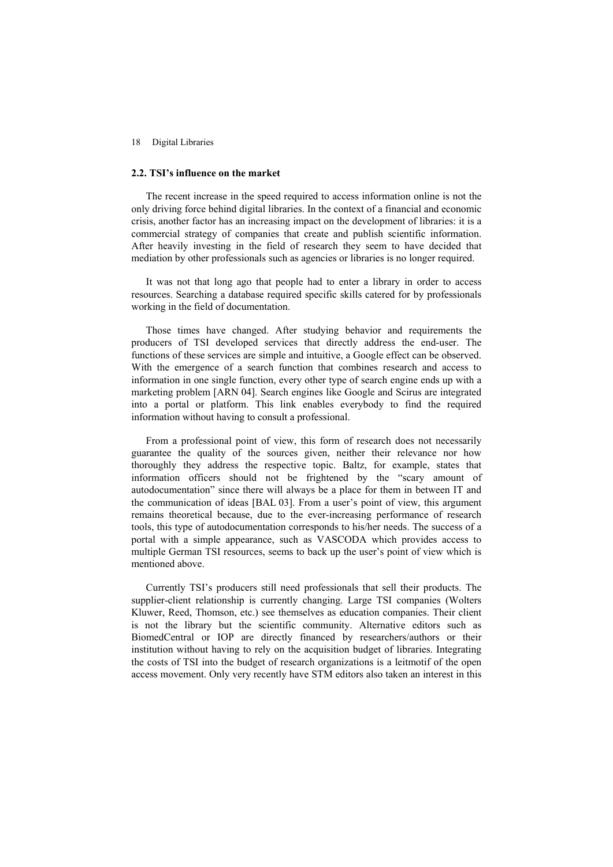#### **2.2. TSI's influence on the market**

The recent increase in the speed required to access information online is not the only driving force behind digital libraries. In the context of a financial and economic crisis, another factor has an increasing impact on the development of libraries: it is a commercial strategy of companies that create and publish scientific information. After heavily investing in the field of research they seem to have decided that mediation by other professionals such as agencies or libraries is no longer required.

It was not that long ago that people had to enter a library in order to access resources. Searching a database required specific skills catered for by professionals working in the field of documentation.

Those times have changed. After studying behavior and requirements the producers of TSI developed services that directly address the end-user. The functions of these services are simple and intuitive, a Google effect can be observed. With the emergence of a search function that combines research and access to information in one single function, every other type of search engine ends up with a marketing problem [ARN 04]. Search engines like Google and Scirus are integrated into a portal or platform. This link enables everybody to find the required information without having to consult a professional.

From a professional point of view, this form of research does not necessarily guarantee the quality of the sources given, neither their relevance nor how thoroughly they address the respective topic. Baltz, for example, states that information officers should not be frightened by the "scary amount of autodocumentation" since there will always be a place for them in between IT and the communication of ideas [BAL 03]. From a user's point of view, this argument remains theoretical because, due to the ever-increasing performance of research tools, this type of autodocumentation corresponds to his/her needs. The success of a portal with a simple appearance, such as VASCODA which provides access to multiple German TSI resources, seems to back up the user's point of view which is mentioned above.

Currently TSI's producers still need professionals that sell their products. The supplier-client relationship is currently changing. Large TSI companies (Wolters Kluwer, Reed, Thomson, etc.) see themselves as education companies. Their client is not the library but the scientific community. Alternative editors such as BiomedCentral or IOP are directly financed by researchers/authors or their institution without having to rely on the acquisition budget of libraries. Integrating the costs of TSI into the budget of research organizations is a leitmotif of the open access movement. Only very recently have STM editors also taken an interest in this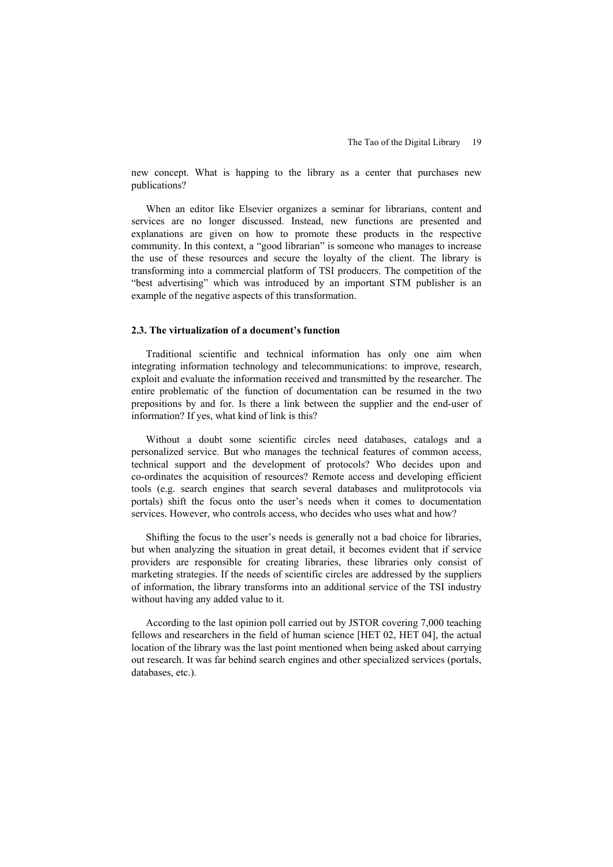new concept. What is happing to the library as a center that purchases new publications?

When an editor like Elsevier organizes a seminar for librarians, content and services are no longer discussed. Instead, new functions are presented and explanations are given on how to promote these products in the respective community. In this context, a "good librarian" is someone who manages to increase the use of these resources and secure the loyalty of the client. The library is transforming into a commercial platform of TSI producers. The competition of the "best advertising" which was introduced by an important STM publisher is an example of the negative aspects of this transformation.

## **2.3. The virtualization of a document's function**

Traditional scientific and technical information has only one aim when integrating information technology and telecommunications: to improve, research, exploit and evaluate the information received and transmitted by the researcher. The entire problematic of the function of documentation can be resumed in the two prepositions by and for. Is there a link between the supplier and the end-user of information? If yes, what kind of link is this?

Without a doubt some scientific circles need databases, catalogs and a personalized service. But who manages the technical features of common access, technical support and the development of protocols? Who decides upon and co-ordinates the acquisition of resources? Remote access and developing efficient tools (e.g. search engines that search several databases and mulitprotocols via portals) shift the focus onto the user's needs when it comes to documentation services. However, who controls access, who decides who uses what and how?

Shifting the focus to the user's needs is generally not a bad choice for libraries, but when analyzing the situation in great detail, it becomes evident that if service providers are responsible for creating libraries, these libraries only consist of marketing strategies. If the needs of scientific circles are addressed by the suppliers of information, the library transforms into an additional service of the TSI industry without having any added value to it.

According to the last opinion poll carried out by JSTOR covering 7,000 teaching fellows and researchers in the field of human science [HET 02, HET 04], the actual location of the library was the last point mentioned when being asked about carrying out research. It was far behind search engines and other specialized services (portals, databases, etc.).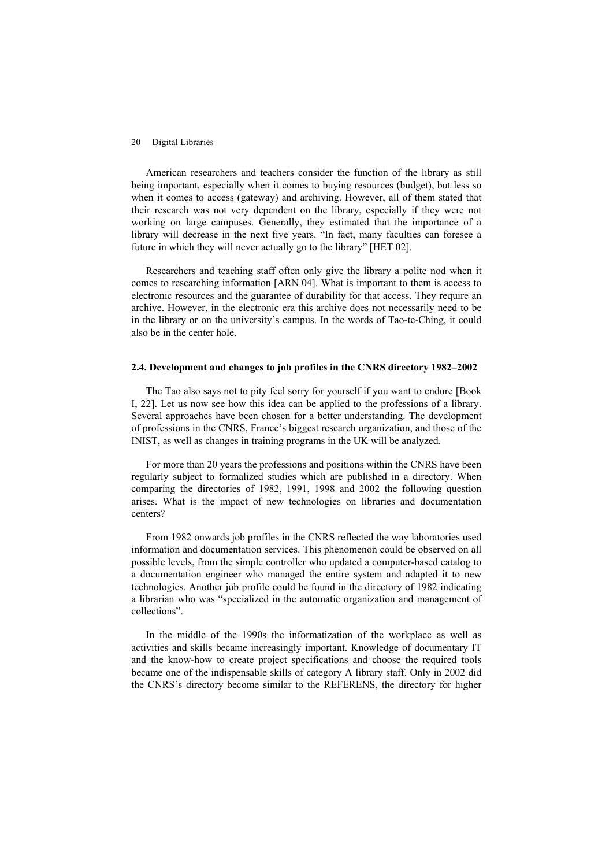American researchers and teachers consider the function of the library as still being important, especially when it comes to buying resources (budget), but less so when it comes to access (gateway) and archiving. However, all of them stated that their research was not very dependent on the library, especially if they were not working on large campuses. Generally, they estimated that the importance of a library will decrease in the next five years. "In fact, many faculties can foresee a future in which they will never actually go to the library" [HET 02].

Researchers and teaching staff often only give the library a polite nod when it comes to researching information [ARN 04]. What is important to them is access to electronic resources and the guarantee of durability for that access. They require an archive. However, in the electronic era this archive does not necessarily need to be in the library or on the university's campus. In the words of Tao-te-Ching, it could also be in the center hole.

# **2.4. Development and changes to job profiles in the CNRS directory 1982–2002**

The Tao also says not to pity feel sorry for yourself if you want to endure [Book I, 22]. Let us now see how this idea can be applied to the professions of a library. Several approaches have been chosen for a better understanding. The development of professions in the CNRS, France's biggest research organization, and those of the INIST, as well as changes in training programs in the UK will be analyzed.

For more than 20 years the professions and positions within the CNRS have been regularly subject to formalized studies which are published in a directory. When comparing the directories of 1982, 1991, 1998 and 2002 the following question arises. What is the impact of new technologies on libraries and documentation centers?

From 1982 onwards job profiles in the CNRS reflected the way laboratories used information and documentation services. This phenomenon could be observed on all possible levels, from the simple controller who updated a computer-based catalog to a documentation engineer who managed the entire system and adapted it to new technologies. Another job profile could be found in the directory of 1982 indicating a librarian who was "specialized in the automatic organization and management of collections".

In the middle of the 1990s the informatization of the workplace as well as activities and skills became increasingly important. Knowledge of documentary IT and the know-how to create project specifications and choose the required tools became one of the indispensable skills of category A library staff. Only in 2002 did the CNRS's directory become similar to the REFERENS, the directory for higher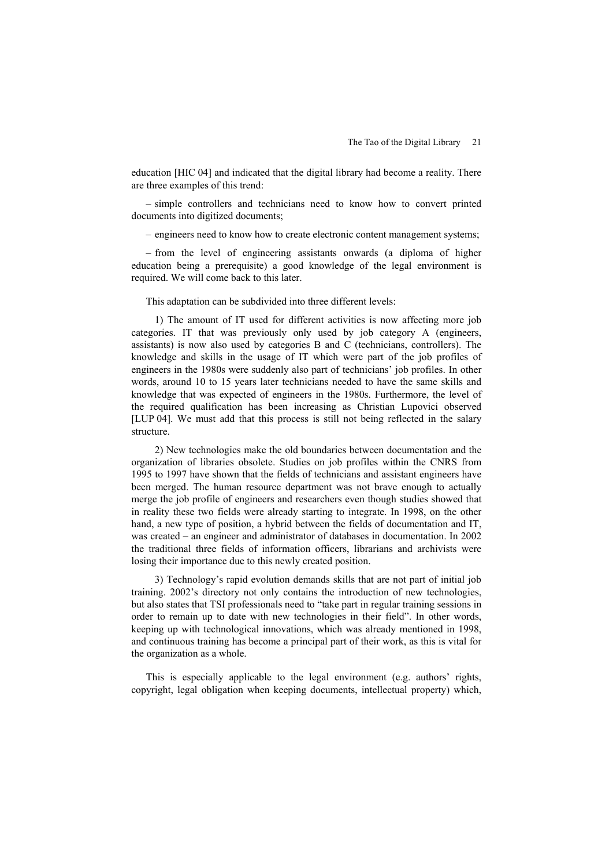education [HIC 04] and indicated that the digital library had become a reality. There are three examples of this trend:

– simple controllers and technicians need to know how to convert printed documents into digitized documents;

– engineers need to know how to create electronic content management systems;

– from the level of engineering assistants onwards (a diploma of higher education being a prerequisite) a good knowledge of the legal environment is required. We will come back to this later.

This adaptation can be subdivided into three different levels:

1) The amount of IT used for different activities is now affecting more job categories. IT that was previously only used by job category A (engineers, assistants) is now also used by categories B and C (technicians, controllers). The knowledge and skills in the usage of IT which were part of the job profiles of engineers in the 1980s were suddenly also part of technicians' job profiles. In other words, around 10 to 15 years later technicians needed to have the same skills and knowledge that was expected of engineers in the 1980s. Furthermore, the level of the required qualification has been increasing as Christian Lupovici observed [LUP 04]. We must add that this process is still not being reflected in the salary structure.

2) New technologies make the old boundaries between documentation and the organization of libraries obsolete. Studies on job profiles within the CNRS from 1995 to 1997 have shown that the fields of technicians and assistant engineers have been merged. The human resource department was not brave enough to actually merge the job profile of engineers and researchers even though studies showed that in reality these two fields were already starting to integrate. In 1998, on the other hand, a new type of position, a hybrid between the fields of documentation and IT, was created – an engineer and administrator of databases in documentation. In 2002 the traditional three fields of information officers, librarians and archivists were losing their importance due to this newly created position.

3) Technology's rapid evolution demands skills that are not part of initial job training. 2002's directory not only contains the introduction of new technologies, but also states that TSI professionals need to "take part in regular training sessions in order to remain up to date with new technologies in their field". In other words, keeping up with technological innovations, which was already mentioned in 1998, and continuous training has become a principal part of their work, as this is vital for the organization as a whole.

This is especially applicable to the legal environment (e.g. authors' rights, copyright, legal obligation when keeping documents, intellectual property) which,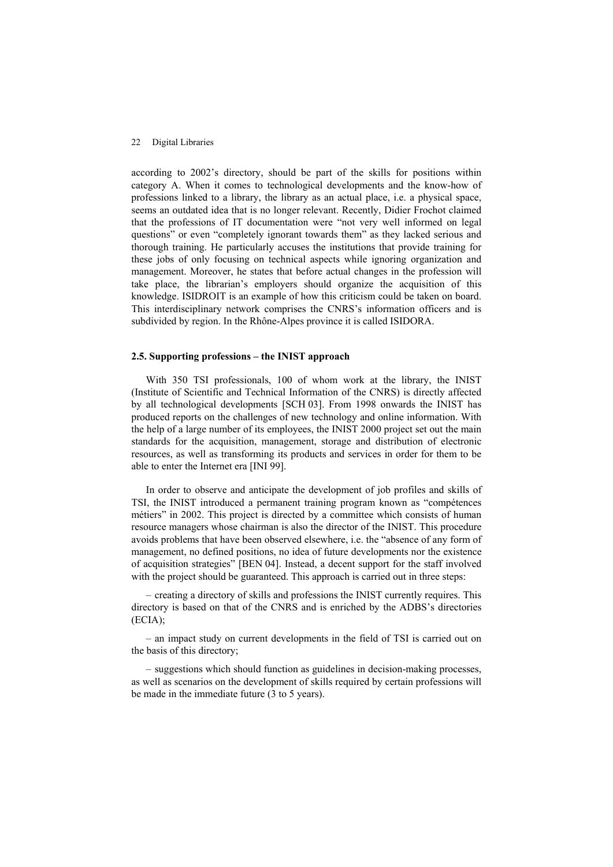according to 2002's directory, should be part of the skills for positions within category A. When it comes to technological developments and the know-how of professions linked to a library, the library as an actual place, i.e. a physical space, seems an outdated idea that is no longer relevant. Recently, Didier Frochot claimed that the professions of IT documentation were "not very well informed on legal questions" or even "completely ignorant towards them" as they lacked serious and thorough training. He particularly accuses the institutions that provide training for these jobs of only focusing on technical aspects while ignoring organization and management. Moreover, he states that before actual changes in the profession will take place, the librarian's employers should organize the acquisition of this knowledge. ISIDROIT is an example of how this criticism could be taken on board. This interdisciplinary network comprises the CNRS's information officers and is subdivided by region. In the Rhône-Alpes province it is called ISIDORA.

#### **2.5. Supporting professions – the INIST approach**

With 350 TSI professionals, 100 of whom work at the library, the INIST (Institute of Scientific and Technical Information of the CNRS) is directly affected by all technological developments [SCH 03]. From 1998 onwards the INIST has produced reports on the challenges of new technology and online information. With the help of a large number of its employees, the INIST 2000 project set out the main standards for the acquisition, management, storage and distribution of electronic resources, as well as transforming its products and services in order for them to be able to enter the Internet era [INI 99].

In order to observe and anticipate the development of job profiles and skills of TSI, the INIST introduced a permanent training program known as "compétences métiers" in 2002. This project is directed by a committee which consists of human resource managers whose chairman is also the director of the INIST. This procedure avoids problems that have been observed elsewhere, i.e. the "absence of any form of management, no defined positions, no idea of future developments nor the existence of acquisition strategies" [BEN 04]. Instead, a decent support for the staff involved with the project should be guaranteed. This approach is carried out in three steps:

– creating a directory of skills and professions the INIST currently requires. This directory is based on that of the CNRS and is enriched by the ADBS's directories (ECIA);

– an impact study on current developments in the field of TSI is carried out on the basis of this directory;

– suggestions which should function as guidelines in decision-making processes, as well as scenarios on the development of skills required by certain professions will be made in the immediate future (3 to 5 years).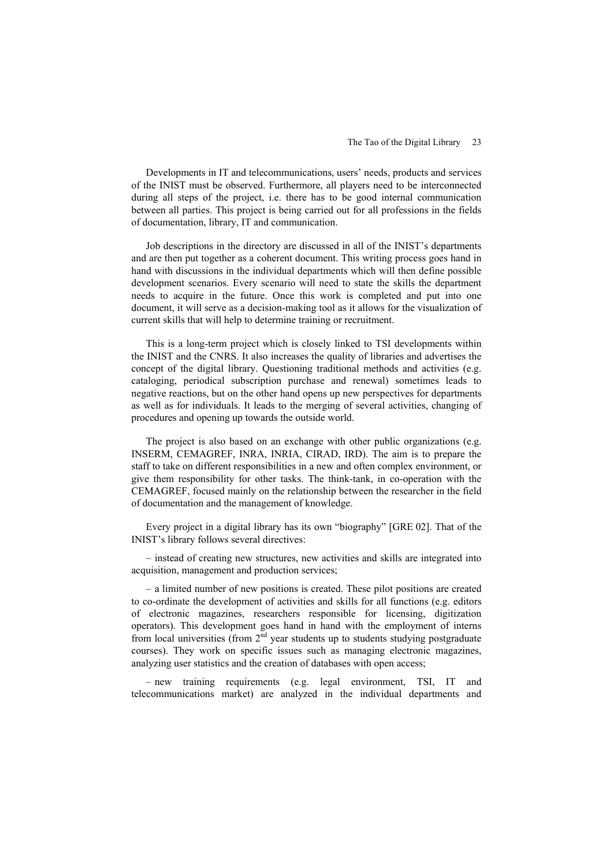Developments in IT and telecommunications, users' needs, products and services of the INIST must be observed. Furthermore, all players need to be interconnected during all steps of the project, i.e. there has to be good internal communication between all parties. This project is being carried out for all professions in the fields of documentation, library, IT and communication.

Job descriptions in the directory are discussed in all of the INIST's departments and are then put together as a coherent document. This writing process goes hand in hand with discussions in the individual departments which will then define possible development scenarios. Every scenario will need to state the skills the department needs to acquire in the future. Once this work is completed and put into one document, it will serve as a decision-making tool as it allows for the visualization of current skills that will help to determine training or recruitment.

This is a long-term project which is closely linked to TSI developments within the INIST and the CNRS. It also increases the quality of libraries and advertises the concept of the digital library. Questioning traditional methods and activities (e.g. cataloging, periodical subscription purchase and renewal) sometimes leads to negative reactions, but on the other hand opens up new perspectives for departments as well as for individuals. It leads to the merging of several activities, changing of procedures and opening up towards the outside world.

The project is also based on an exchange with other public organizations (e.g. INSERM, CEMAGREF, INRA, INRIA, CIRAD, IRD). The aim is to prepare the staff to take on different responsibilities in a new and often complex environment, or give them responsibility for other tasks. The think-tank, in co-operation with the CEMAGREF, focused mainly on the relationship between the researcher in the field of documentation and the management of knowledge.

Every project in a digital library has its own "biography" [GRE 02]. That of the INIST's library follows several directives:

– instead of creating new structures, new activities and skills are integrated into acquisition, management and production services;

– a limited number of new positions is created. These pilot positions are created to co-ordinate the development of activities and skills for all functions (e.g. editors of electronic magazines, researchers responsible for licensing, digitization operators). This development goes hand in hand with the employment of interns from local universities (from  $2<sup>nd</sup>$  year students up to students studying postgraduate courses). They work on specific issues such as managing electronic magazines, analyzing user statistics and the creation of databases with open access;

– new training requirements (e.g. legal environment, TSI, IT and telecommunications market) are analyzed in the individual departments and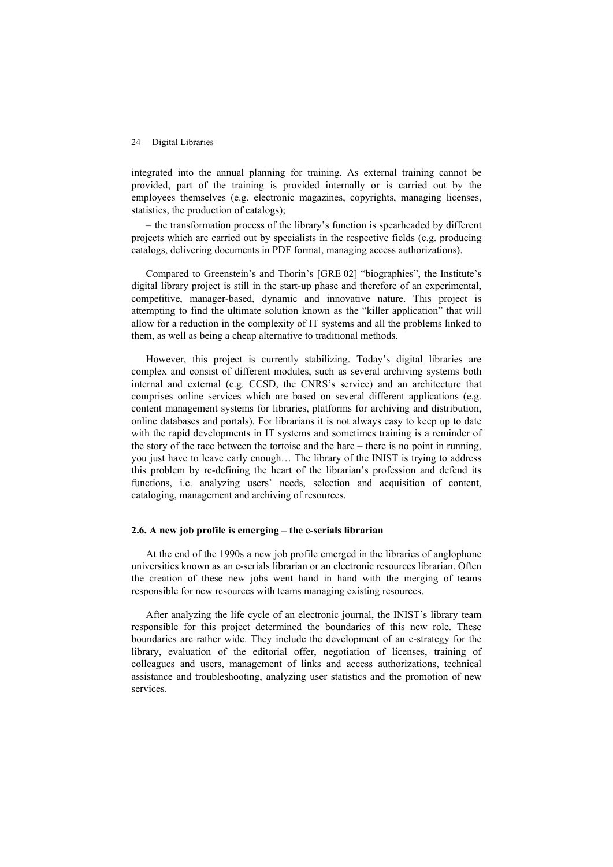integrated into the annual planning for training. As external training cannot be provided, part of the training is provided internally or is carried out by the employees themselves (e.g. electronic magazines, copyrights, managing licenses, statistics, the production of catalogs);

– the transformation process of the library's function is spearheaded by different projects which are carried out by specialists in the respective fields (e.g. producing catalogs, delivering documents in PDF format, managing access authorizations).

Compared to Greenstein's and Thorin's [GRE 02] "biographies", the Institute's digital library project is still in the start-up phase and therefore of an experimental, competitive, manager-based, dynamic and innovative nature. This project is attempting to find the ultimate solution known as the "killer application" that will allow for a reduction in the complexity of IT systems and all the problems linked to them, as well as being a cheap alternative to traditional methods.

However, this project is currently stabilizing. Today's digital libraries are complex and consist of different modules, such as several archiving systems both internal and external (e.g. CCSD, the CNRS's service) and an architecture that comprises online services which are based on several different applications (e.g. content management systems for libraries, platforms for archiving and distribution, online databases and portals). For librarians it is not always easy to keep up to date with the rapid developments in IT systems and sometimes training is a reminder of the story of the race between the tortoise and the hare – there is no point in running, you just have to leave early enough… The library of the INIST is trying to address this problem by re-defining the heart of the librarian's profession and defend its functions, i.e. analyzing users' needs, selection and acquisition of content, cataloging, management and archiving of resources.

#### **2.6. A new job profile is emerging – the e-serials librarian**

At the end of the 1990s a new job profile emerged in the libraries of anglophone universities known as an e-serials librarian or an electronic resources librarian. Often the creation of these new jobs went hand in hand with the merging of teams responsible for new resources with teams managing existing resources.

After analyzing the life cycle of an electronic journal, the INIST's library team responsible for this project determined the boundaries of this new role. These boundaries are rather wide. They include the development of an e-strategy for the library, evaluation of the editorial offer, negotiation of licenses, training of colleagues and users, management of links and access authorizations, technical assistance and troubleshooting, analyzing user statistics and the promotion of new services.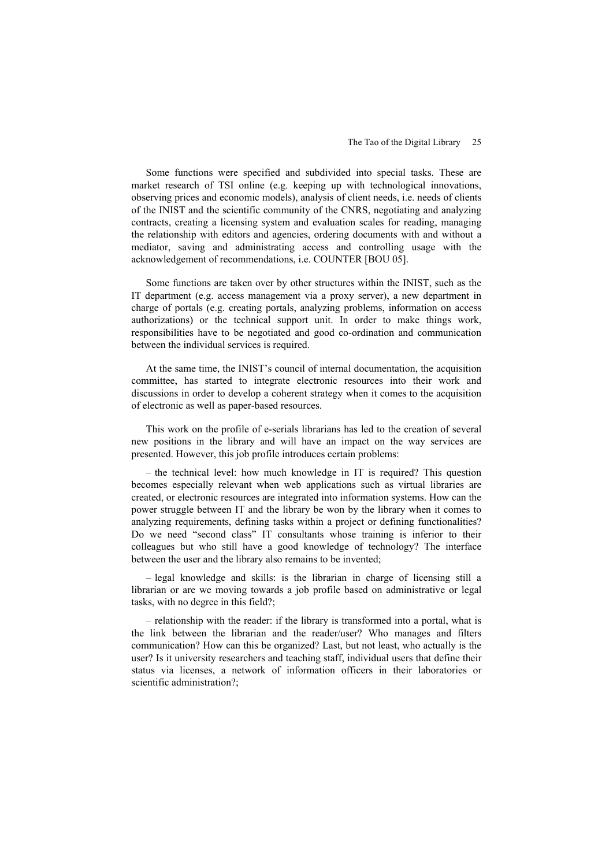Some functions were specified and subdivided into special tasks. These are market research of TSI online (e.g. keeping up with technological innovations, observing prices and economic models), analysis of client needs, i.e. needs of clients of the INIST and the scientific community of the CNRS, negotiating and analyzing contracts, creating a licensing system and evaluation scales for reading, managing the relationship with editors and agencies, ordering documents with and without a mediator, saving and administrating access and controlling usage with the acknowledgement of recommendations, i.e. COUNTER [BOU 05].

Some functions are taken over by other structures within the INIST, such as the IT department (e.g. access management via a proxy server), a new department in charge of portals (e.g. creating portals, analyzing problems, information on access authorizations) or the technical support unit. In order to make things work, responsibilities have to be negotiated and good co-ordination and communication between the individual services is required.

At the same time, the INIST's council of internal documentation, the acquisition committee, has started to integrate electronic resources into their work and discussions in order to develop a coherent strategy when it comes to the acquisition of electronic as well as paper-based resources.

This work on the profile of e-serials librarians has led to the creation of several new positions in the library and will have an impact on the way services are presented. However, this job profile introduces certain problems:

– the technical level: how much knowledge in IT is required? This question becomes especially relevant when web applications such as virtual libraries are created, or electronic resources are integrated into information systems. How can the power struggle between IT and the library be won by the library when it comes to analyzing requirements, defining tasks within a project or defining functionalities? Do we need "second class" IT consultants whose training is inferior to their colleagues but who still have a good knowledge of technology? The interface between the user and the library also remains to be invented;

– legal knowledge and skills: is the librarian in charge of licensing still a librarian or are we moving towards a job profile based on administrative or legal tasks, with no degree in this field?;

– relationship with the reader: if the library is transformed into a portal, what is the link between the librarian and the reader/user? Who manages and filters communication? How can this be organized? Last, but not least, who actually is the user? Is it university researchers and teaching staff, individual users that define their status via licenses, a network of information officers in their laboratories or scientific administration?;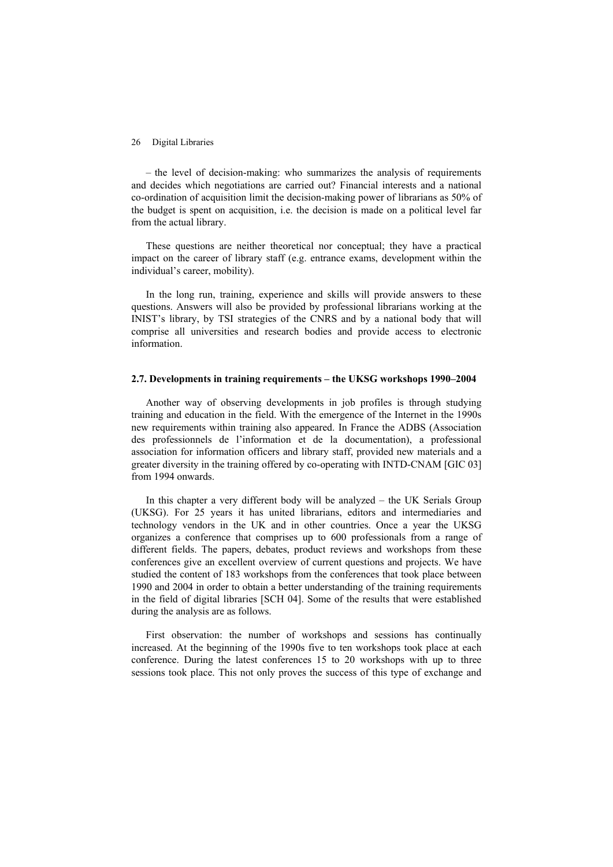– the level of decision-making: who summarizes the analysis of requirements and decides which negotiations are carried out? Financial interests and a national co-ordination of acquisition limit the decision-making power of librarians as 50% of the budget is spent on acquisition, i.e. the decision is made on a political level far from the actual library.

These questions are neither theoretical nor conceptual; they have a practical impact on the career of library staff (e.g. entrance exams, development within the individual's career, mobility).

In the long run, training, experience and skills will provide answers to these questions. Answers will also be provided by professional librarians working at the INIST's library, by TSI strategies of the CNRS and by a national body that will comprise all universities and research bodies and provide access to electronic information.

# **2.7. Developments in training requirements – the UKSG workshops 1990–2004**

Another way of observing developments in job profiles is through studying training and education in the field. With the emergence of the Internet in the 1990s new requirements within training also appeared. In France the ADBS (Association des professionnels de l'information et de la documentation), a professional association for information officers and library staff, provided new materials and a greater diversity in the training offered by co-operating with INTD-CNAM [GIC 03] from 1994 onwards.

In this chapter a very different body will be analyzed – the UK Serials Group (UKSG). For 25 years it has united librarians, editors and intermediaries and technology vendors in the UK and in other countries. Once a year the UKSG organizes a conference that comprises up to 600 professionals from a range of different fields. The papers, debates, product reviews and workshops from these conferences give an excellent overview of current questions and projects. We have studied the content of 183 workshops from the conferences that took place between 1990 and 2004 in order to obtain a better understanding of the training requirements in the field of digital libraries [SCH 04]. Some of the results that were established during the analysis are as follows.

First observation: the number of workshops and sessions has continually increased. At the beginning of the 1990s five to ten workshops took place at each conference. During the latest conferences 15 to 20 workshops with up to three sessions took place. This not only proves the success of this type of exchange and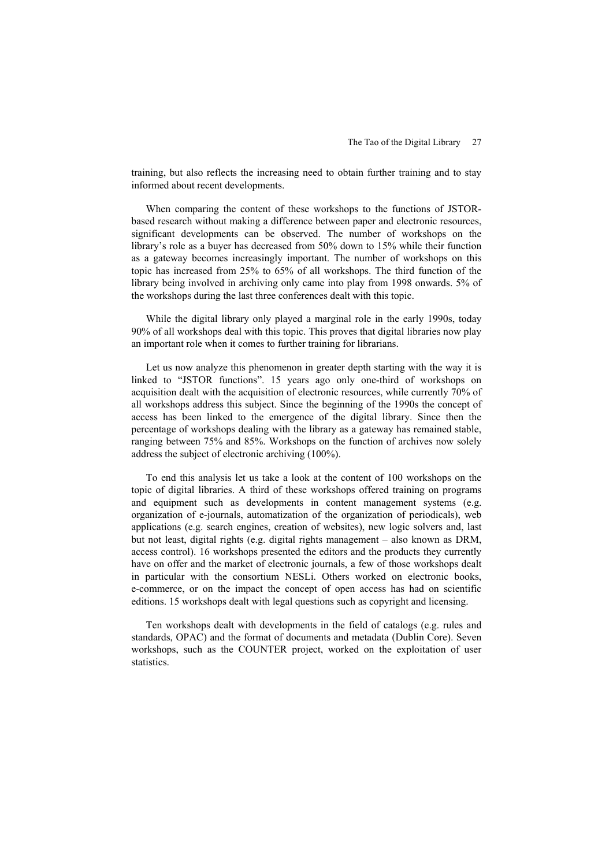training, but also reflects the increasing need to obtain further training and to stay informed about recent developments.

When comparing the content of these workshops to the functions of JSTORbased research without making a difference between paper and electronic resources, significant developments can be observed. The number of workshops on the library's role as a buyer has decreased from 50% down to 15% while their function as a gateway becomes increasingly important. The number of workshops on this topic has increased from 25% to 65% of all workshops. The third function of the library being involved in archiving only came into play from 1998 onwards. 5% of the workshops during the last three conferences dealt with this topic.

While the digital library only played a marginal role in the early 1990s, today 90% of all workshops deal with this topic. This proves that digital libraries now play an important role when it comes to further training for librarians.

Let us now analyze this phenomenon in greater depth starting with the way it is linked to "JSTOR functions". 15 years ago only one-third of workshops on acquisition dealt with the acquisition of electronic resources, while currently 70% of all workshops address this subject. Since the beginning of the 1990s the concept of access has been linked to the emergence of the digital library. Since then the percentage of workshops dealing with the library as a gateway has remained stable, ranging between 75% and 85%. Workshops on the function of archives now solely address the subject of electronic archiving (100%).

To end this analysis let us take a look at the content of 100 workshops on the topic of digital libraries. A third of these workshops offered training on programs and equipment such as developments in content management systems (e.g. organization of e-journals, automatization of the organization of periodicals), web applications (e.g. search engines, creation of websites), new logic solvers and, last but not least, digital rights (e.g. digital rights management – also known as DRM, access control). 16 workshops presented the editors and the products they currently have on offer and the market of electronic journals, a few of those workshops dealt in particular with the consortium NESLi. Others worked on electronic books, e-commerce, or on the impact the concept of open access has had on scientific editions. 15 workshops dealt with legal questions such as copyright and licensing.

Ten workshops dealt with developments in the field of catalogs (e.g. rules and standards, OPAC) and the format of documents and metadata (Dublin Core). Seven workshops, such as the COUNTER project, worked on the exploitation of user statistics.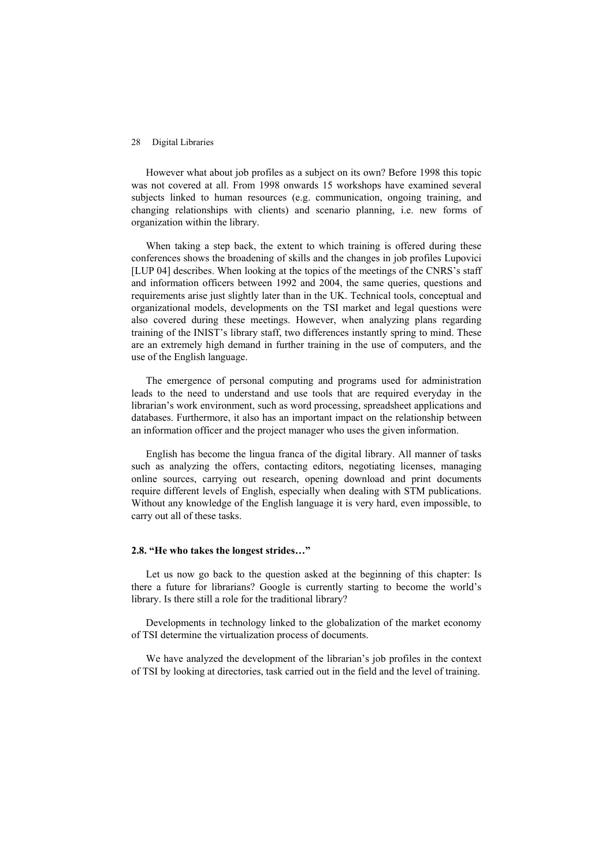However what about job profiles as a subject on its own? Before 1998 this topic was not covered at all. From 1998 onwards 15 workshops have examined several subjects linked to human resources (e.g. communication, ongoing training, and changing relationships with clients) and scenario planning, i.e. new forms of organization within the library.

When taking a step back, the extent to which training is offered during these conferences shows the broadening of skills and the changes in job profiles Lupovici [LUP 04] describes. When looking at the topics of the meetings of the CNRS's staff and information officers between 1992 and 2004, the same queries, questions and requirements arise just slightly later than in the UK. Technical tools, conceptual and organizational models, developments on the TSI market and legal questions were also covered during these meetings. However, when analyzing plans regarding training of the INIST's library staff, two differences instantly spring to mind. These are an extremely high demand in further training in the use of computers, and the use of the English language.

The emergence of personal computing and programs used for administration leads to the need to understand and use tools that are required everyday in the librarian's work environment, such as word processing, spreadsheet applications and databases. Furthermore, it also has an important impact on the relationship between an information officer and the project manager who uses the given information.

English has become the lingua franca of the digital library. All manner of tasks such as analyzing the offers, contacting editors, negotiating licenses, managing online sources, carrying out research, opening download and print documents require different levels of English, especially when dealing with STM publications. Without any knowledge of the English language it is very hard, even impossible, to carry out all of these tasks.

#### **2.8. "He who takes the longest strides…"**

Let us now go back to the question asked at the beginning of this chapter: Is there a future for librarians? Google is currently starting to become the world's library. Is there still a role for the traditional library?

Developments in technology linked to the globalization of the market economy of TSI determine the virtualization process of documents.

We have analyzed the development of the librarian's job profiles in the context of TSI by looking at directories, task carried out in the field and the level of training.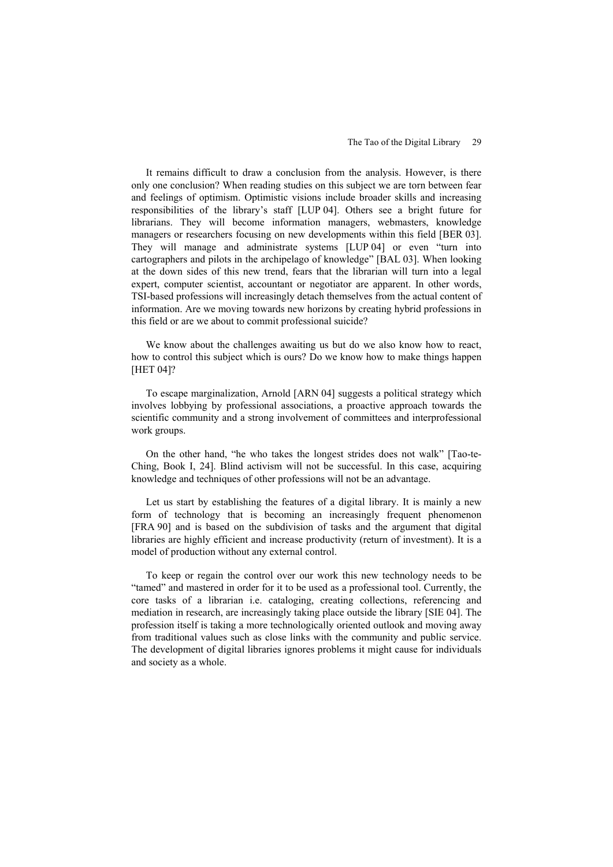It remains difficult to draw a conclusion from the analysis. However, is there only one conclusion? When reading studies on this subject we are torn between fear and feelings of optimism. Optimistic visions include broader skills and increasing responsibilities of the library's staff [LUP 04]. Others see a bright future for librarians. They will become information managers, webmasters, knowledge managers or researchers focusing on new developments within this field [BER 03]. They will manage and administrate systems [LUP 04] or even "turn into cartographers and pilots in the archipelago of knowledge" [BAL 03]. When looking at the down sides of this new trend, fears that the librarian will turn into a legal expert, computer scientist, accountant or negotiator are apparent. In other words, TSI-based professions will increasingly detach themselves from the actual content of information. Are we moving towards new horizons by creating hybrid professions in this field or are we about to commit professional suicide?

We know about the challenges awaiting us but do we also know how to react, how to control this subject which is ours? Do we know how to make things happen [HET 04]?

To escape marginalization, Arnold [ARN 04] suggests a political strategy which involves lobbying by professional associations, a proactive approach towards the scientific community and a strong involvement of committees and interprofessional work groups.

On the other hand, "he who takes the longest strides does not walk" [Tao-te-Ching, Book I, 24]. Blind activism will not be successful. In this case, acquiring knowledge and techniques of other professions will not be an advantage.

Let us start by establishing the features of a digital library. It is mainly a new form of technology that is becoming an increasingly frequent phenomenon [FRA 90] and is based on the subdivision of tasks and the argument that digital libraries are highly efficient and increase productivity (return of investment). It is a model of production without any external control.

To keep or regain the control over our work this new technology needs to be "tamed" and mastered in order for it to be used as a professional tool. Currently, the core tasks of a librarian i.e. cataloging, creating collections, referencing and mediation in research, are increasingly taking place outside the library [SIE 04]. The profession itself is taking a more technologically oriented outlook and moving away from traditional values such as close links with the community and public service. The development of digital libraries ignores problems it might cause for individuals and society as a whole.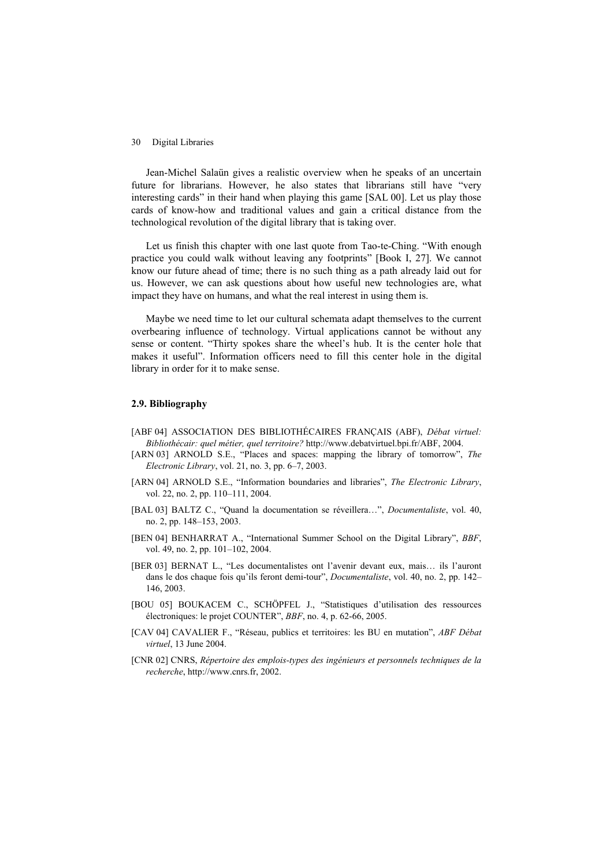Jean-Michel Salaün gives a realistic overview when he speaks of an uncertain future for librarians. However, he also states that librarians still have "very interesting cards" in their hand when playing this game [SAL 00]. Let us play those cards of know-how and traditional values and gain a critical distance from the technological revolution of the digital library that is taking over.

Let us finish this chapter with one last quote from Tao-te-Ching. "With enough practice you could walk without leaving any footprints" [Book I, 27]. We cannot know our future ahead of time; there is no such thing as a path already laid out for us. However, we can ask questions about how useful new technologies are, what impact they have on humans, and what the real interest in using them is.

Maybe we need time to let our cultural schemata adapt themselves to the current overbearing influence of technology. Virtual applications cannot be without any sense or content. "Thirty spokes share the wheel's hub. It is the center hole that makes it useful". Information officers need to fill this center hole in the digital library in order for it to make sense.

# **2.9. Bibliography**

- [ABF 04] ASSOCIATION DES BIBLIOTHÉCAIRES FRANÇAIS (ABF), *Débat virtuel: Bibliothécair: quel métier, quel territoire?* http://www.debatvirtuel.bpi.fr/ABF, 2004.
- [ARN 03] ARNOLD S.E., "Places and spaces: mapping the library of tomorrow", *The Electronic Library*, vol. 21, no. 3, pp. 6–7, 2003.
- [ARN 04] ARNOLD S.E., "Information boundaries and libraries", *The Electronic Library*, vol. 22, no. 2, pp. 110–111, 2004.
- [BAL 03] BALTZ C., "Quand la documentation se réveillera…", *Documentaliste*, vol. 40, no. 2, pp. 148–153, 2003.
- [BEN 04] BENHARRAT A., "International Summer School on the Digital Library", *BBF*, vol. 49, no. 2, pp. 101–102, 2004.
- [BER 03] BERNAT L., "Les documentalistes ont l'avenir devant eux, mais… ils l'auront dans le dos chaque fois qu'ils feront demi-tour", *Documentaliste*, vol. 40, no. 2, pp. 142– 146, 2003.
- [BOU 05] BOUKACEM C., SCHÖPFEL J., "Statistiques d'utilisation des ressources électroniques: le projet COUNTER", *BBF*, no. 4, p. 62-66, 2005.
- [CAV 04] CAVALIER F., "Réseau, publics et territoires: les BU en mutation", *ABF Débat virtuel*, 13 June 2004.
- [CNR 02] CNRS, *Répertoire des emplois-types des ingénieurs et personnels techniques de la recherche*, http://www.cnrs.fr, 2002.